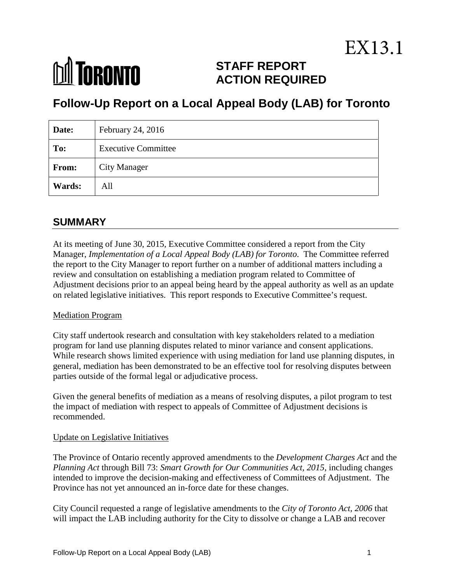# **M** TORONTO

# **STAFF REPORT ACTION REQUIRED**

# **Follow-Up Report on a Local Appeal Body (LAB) for Toronto**

| Date:  | February 24, 2016          |
|--------|----------------------------|
| To:    | <b>Executive Committee</b> |
| From:  | <b>City Manager</b>        |
| Wards: | All                        |

# **SUMMARY**

At its meeting of June 30, 2015, Executive Committee considered a report from the City Manager, *Implementation of a Local Appeal Body (LAB) for Toronto*. The Committee referred the report to the City Manager to report further on a number of additional matters including a review and consultation on establishing a mediation program related to Committee of Adjustment decisions prior to an appeal being heard by the appeal authority as well as an update on related legislative initiatives. This report responds to Executive Committee's request.

#### Mediation Program

City staff undertook research and consultation with key stakeholders related to a mediation program for land use planning disputes related to minor variance and consent applications. While research shows limited experience with using mediation for land use planning disputes, in general, mediation has been demonstrated to be an effective tool for resolving disputes between parties outside of the formal legal or adjudicative process.

Given the general benefits of mediation as a means of resolving disputes, a pilot program to test the impact of mediation with respect to appeals of Committee of Adjustment decisions is recommended.

#### Update on Legislative Initiatives

The Province of Ontario recently approved amendments to the *Development Charges Act* and the *Planning Act* through Bill 73: *Smart Growth for Our Communities Act, 2015*, including changes intended to improve the decision-making and effectiveness of Committees of Adjustment. The Province has not yet announced an in-force date for these changes.

City Council requested a range of legislative amendments to the *City of Toronto Act, 2006* that will impact the LAB including authority for the City to dissolve or change a LAB and recover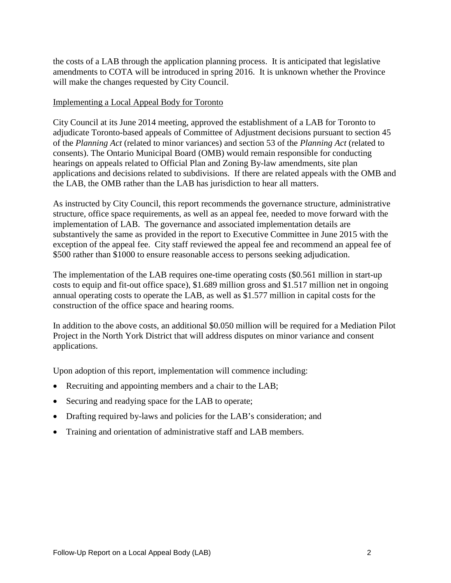the costs of a LAB through the application planning process. It is anticipated that legislative amendments to COTA will be introduced in spring 2016. It is unknown whether the Province will make the changes requested by City Council.

#### Implementing a Local Appeal Body for Toronto

City Council at its June 2014 meeting, approved the establishment of a LAB for Toronto to adjudicate Toronto-based appeals of Committee of Adjustment decisions pursuant to section 45 of the *Planning Act* (related to minor variances) and section 53 of the *Planning Act* (related to consents). The Ontario Municipal Board (OMB) would remain responsible for conducting hearings on appeals related to Official Plan and Zoning By-law amendments, site plan applications and decisions related to subdivisions. If there are related appeals with the OMB and the LAB, the OMB rather than the LAB has jurisdiction to hear all matters.

As instructed by City Council, this report recommends the governance structure, administrative structure, office space requirements, as well as an appeal fee, needed to move forward with the implementation of LAB. The governance and associated implementation details are substantively the same as provided in the report to Executive Committee in June 2015 with the exception of the appeal fee. City staff reviewed the appeal fee and recommend an appeal fee of \$500 rather than \$1000 to ensure reasonable access to persons seeking adjudication.

The implementation of the LAB requires one-time operating costs (\$0.561 million in start-up costs to equip and fit-out office space), \$1.689 million gross and \$1.517 million net in ongoing annual operating costs to operate the LAB, as well as \$1.577 million in capital costs for the construction of the office space and hearing rooms.

In addition to the above costs, an additional \$0.050 million will be required for a Mediation Pilot Project in the North York District that will address disputes on minor variance and consent applications.

Upon adoption of this report, implementation will commence including:

- Recruiting and appointing members and a chair to the LAB;
- Securing and readying space for the LAB to operate;
- Drafting required by-laws and policies for the LAB's consideration; and
- Training and orientation of administrative staff and LAB members.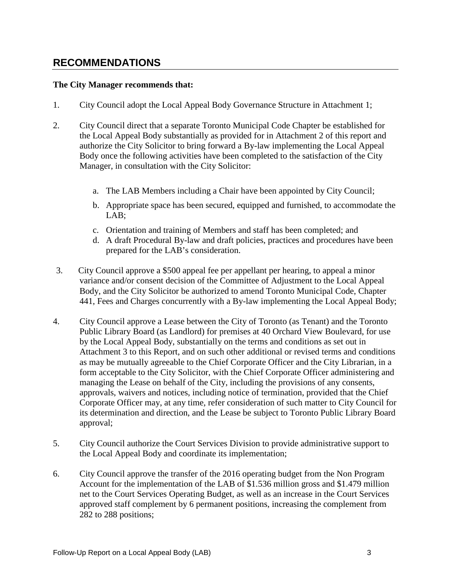# **RECOMMENDATIONS**

#### **The City Manager recommends that:**

- 1. City Council adopt the Local Appeal Body Governance Structure in Attachment 1;
- 2. City Council direct that a separate Toronto Municipal Code Chapter be established for the Local Appeal Body substantially as provided for in Attachment 2 of this report and authorize the City Solicitor to bring forward a By-law implementing the Local Appeal Body once the following activities have been completed to the satisfaction of the City Manager, in consultation with the City Solicitor:
	- a. The LAB Members including a Chair have been appointed by City Council;
	- b. Appropriate space has been secured, equipped and furnished, to accommodate the LAB;
	- c. Orientation and training of Members and staff has been completed; and
	- d. A draft Procedural By-law and draft policies, practices and procedures have been prepared for the LAB's consideration.
- 3. City Council approve a \$500 appeal fee per appellant per hearing, to appeal a minor variance and/or consent decision of the Committee of Adjustment to the Local Appeal Body, and the City Solicitor be authorized to amend Toronto Municipal Code, Chapter 441, Fees and Charges concurrently with a By-law implementing the Local Appeal Body;
- 4. City Council approve a Lease between the City of Toronto (as Tenant) and the Toronto Public Library Board (as Landlord) for premises at 40 Orchard View Boulevard, for use by the Local Appeal Body, substantially on the terms and conditions as set out in Attachment 3 to this Report, and on such other additional or revised terms and conditions as may be mutually agreeable to the Chief Corporate Officer and the City Librarian, in a form acceptable to the City Solicitor, with the Chief Corporate Officer administering and managing the Lease on behalf of the City, including the provisions of any consents, approvals, waivers and notices, including notice of termination, provided that the Chief Corporate Officer may, at any time, refer consideration of such matter to City Council for its determination and direction, and the Lease be subject to Toronto Public Library Board approval;
- 5. City Council authorize the Court Services Division to provide administrative support to the Local Appeal Body and coordinate its implementation;
- 6. City Council approve the transfer of the 2016 operating budget from the Non Program Account for the implementation of the LAB of \$1.536 million gross and \$1.479 million net to the Court Services Operating Budget, as well as an increase in the Court Services approved staff complement by 6 permanent positions, increasing the complement from 282 to 288 positions;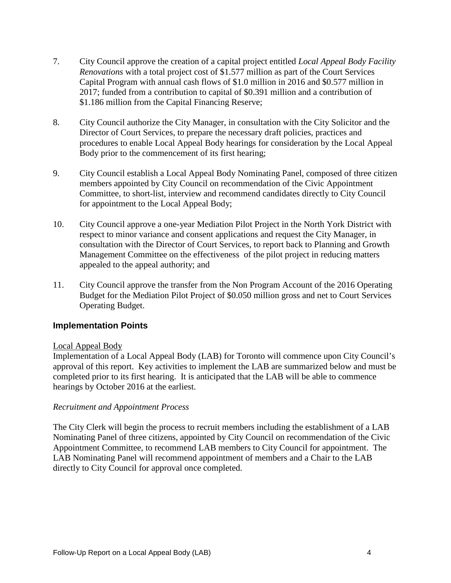- 7. City Council approve the creation of a capital project entitled *Local Appeal Body Facility Renovations* with a total project cost of \$1.577 million as part of the Court Services Capital Program with annual cash flows of \$1.0 million in 2016 and \$0.577 million in 2017; funded from a contribution to capital of \$0.391 million and a contribution of \$1.186 million from the Capital Financing Reserve;
- 8. City Council authorize the City Manager, in consultation with the City Solicitor and the Director of Court Services, to prepare the necessary draft policies, practices and procedures to enable Local Appeal Body hearings for consideration by the Local Appeal Body prior to the commencement of its first hearing;
- 9. City Council establish a Local Appeal Body Nominating Panel, composed of three citizen members appointed by City Council on recommendation of the Civic Appointment Committee, to short-list, interview and recommend candidates directly to City Council for appointment to the Local Appeal Body;
- 10. City Council approve a one-year Mediation Pilot Project in the North York District with respect to minor variance and consent applications and request the City Manager, in consultation with the Director of Court Services, to report back to Planning and Growth Management Committee on the effectiveness of the pilot project in reducing matters appealed to the appeal authority; and
- 11. City Council approve the transfer from the Non Program Account of the 2016 Operating Budget for the Mediation Pilot Project of \$0.050 million gross and net to Court Services Operating Budget.

#### **Implementation Points**

#### Local Appeal Body

Implementation of a Local Appeal Body (LAB) for Toronto will commence upon City Council's approval of this report. Key activities to implement the LAB are summarized below and must be completed prior to its first hearing. It is anticipated that the LAB will be able to commence hearings by October 2016 at the earliest.

#### *Recruitment and Appointment Process*

The City Clerk will begin the process to recruit members including the establishment of a LAB Nominating Panel of three citizens, appointed by City Council on recommendation of the Civic Appointment Committee, to recommend LAB members to City Council for appointment. The LAB Nominating Panel will recommend appointment of members and a Chair to the LAB directly to City Council for approval once completed.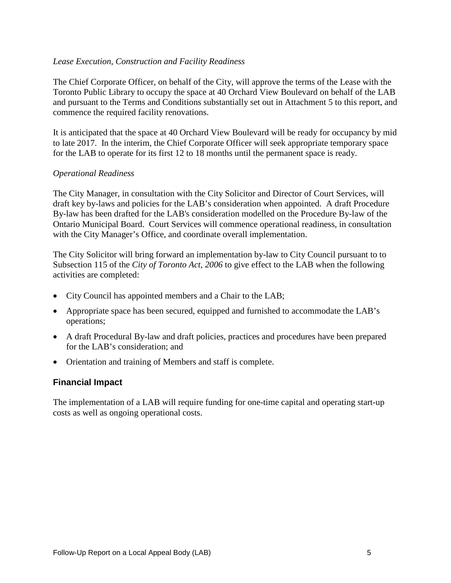#### *Lease Execution, Construction and Facility Readiness*

The Chief Corporate Officer, on behalf of the City, will approve the terms of the Lease with the Toronto Public Library to occupy the space at 40 Orchard View Boulevard on behalf of the LAB and pursuant to the Terms and Conditions substantially set out in Attachment 5 to this report, and commence the required facility renovations.

It is anticipated that the space at 40 Orchard View Boulevard will be ready for occupancy by mid to late 2017. In the interim, the Chief Corporate Officer will seek appropriate temporary space for the LAB to operate for its first 12 to 18 months until the permanent space is ready.

#### *Operational Readiness*

The City Manager, in consultation with the City Solicitor and Director of Court Services, will draft key by-laws and policies for the LAB's consideration when appointed. A draft Procedure By-law has been drafted for the LAB's consideration modelled on the Procedure By-law of the Ontario Municipal Board. Court Services will commence operational readiness, in consultation with the City Manager's Office, and coordinate overall implementation.

The City Solicitor will bring forward an implementation by-law to City Council pursuant to to Subsection 115 of the *City of Toronto Act, 2006* to give effect to the LAB when the following activities are completed:

- City Council has appointed members and a Chair to the LAB;
- Appropriate space has been secured, equipped and furnished to accommodate the LAB's operations;
- A draft Procedural By-law and draft policies, practices and procedures have been prepared for the LAB's consideration; and
- Orientation and training of Members and staff is complete.

#### **Financial Impact**

The implementation of a LAB will require funding for one-time capital and operating start-up costs as well as ongoing operational costs.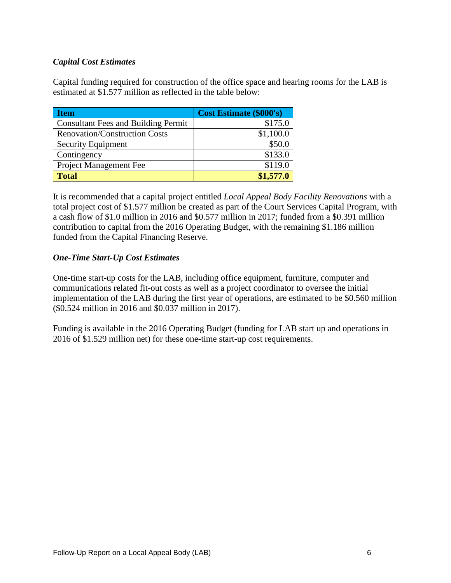#### *Capital Cost Estimates*

Capital funding required for construction of the office space and hearing rooms for the LAB is estimated at \$1.577 million as reflected in the table below:

| <b>Item</b>                                | <b>Cost Estimate (\$000's)</b> |
|--------------------------------------------|--------------------------------|
| <b>Consultant Fees and Building Permit</b> | \$175.0                        |
| <b>Renovation/Construction Costs</b>       | \$1,100.0                      |
| <b>Security Equipment</b>                  | \$50.0                         |
| Contingency                                | \$133.0                        |
| Project Management Fee                     | \$119.0                        |
| <b>Total</b>                               | \$1,577.0                      |

It is recommended that a capital project entitled *Local Appeal Body Facility Renovations* with a total project cost of \$1.577 million be created as part of the Court Services Capital Program, with a cash flow of \$1.0 million in 2016 and \$0.577 million in 2017; funded from a \$0.391 million contribution to capital from the 2016 Operating Budget, with the remaining \$1.186 million funded from the Capital Financing Reserve.

#### *One-Time Start-Up Cost Estimates*

One-time start-up costs for the LAB, including office equipment, furniture, computer and communications related fit-out costs as well as a project coordinator to oversee the initial implementation of the LAB during the first year of operations, are estimated to be \$0.560 million (\$0.524 million in 2016 and \$0.037 million in 2017).

Funding is available in the 2016 Operating Budget (funding for LAB start up and operations in 2016 of \$1.529 million net) for these one-time start-up cost requirements.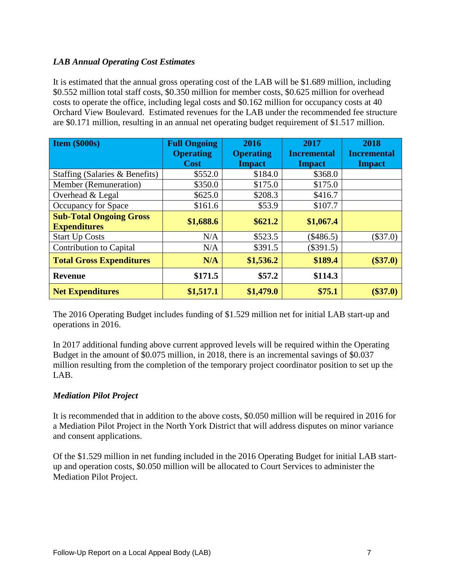#### *LAB Annual Operating Cost Estimates*

It is estimated that the annual gross operating cost of the LAB will be \$1.689 million, including \$0.552 million total staff costs, \$0.350 million for member costs, \$0.625 million for overhead costs to operate the office, including legal costs and \$0.162 million for occupancy costs at 40 Orchard View Boulevard. Estimated revenues for the LAB under the recommended fee structure are \$0.171 million, resulting in an annual net operating budget requirement of \$1.517 million.

| <b>Item (\$000s)</b>                                  | <b>Full Ongoing</b><br><b>Operating</b><br><b>Cost</b> | 2016<br><b>Operating</b><br><b>Impact</b> | 2017<br><b>Incremental</b><br><b>Impact</b> | 2018<br><b>Incremental</b><br><b>Impact</b> |
|-------------------------------------------------------|--------------------------------------------------------|-------------------------------------------|---------------------------------------------|---------------------------------------------|
| Staffing (Salaries & Benefits)                        | \$552.0                                                | \$184.0                                   | \$368.0                                     |                                             |
| Member (Remuneration)                                 | \$350.0                                                | \$175.0                                   | \$175.0                                     |                                             |
| Overhead & Legal                                      | \$625.0                                                | \$208.3                                   | \$416.7                                     |                                             |
| Occupancy for Space                                   | \$161.6                                                | \$53.9                                    | \$107.7                                     |                                             |
| <b>Sub-Total Ongoing Gross</b><br><b>Expenditures</b> | \$1,688.6                                              | \$621.2                                   | \$1,067.4                                   |                                             |
| <b>Start Up Costs</b>                                 | N/A                                                    | \$523.5                                   | $(\$486.5)$                                 | $(\$37.0)$                                  |
| Contribution to Capital                               | N/A                                                    | \$391.5                                   | $(\$391.5)$                                 |                                             |
| <b>Total Gross Expenditures</b>                       | N/A                                                    | \$1,536.2                                 | \$189.4                                     | $(\$37.0)$                                  |
| <b>Revenue</b>                                        | \$171.5                                                | \$57.2                                    | \$114.3                                     |                                             |
| <b>Net Expenditures</b>                               | \$1,517.1                                              | \$1,479.0                                 | \$75.1                                      | $(\$37.0)$                                  |

The 2016 Operating Budget includes funding of \$1.529 million net for initial LAB start-up and operations in 2016.

In 2017 additional funding above current approved levels will be required within the Operating Budget in the amount of \$0.075 million, in 2018, there is an incremental savings of \$0.037 million resulting from the completion of the temporary project coordinator position to set up the LAB.

#### *Mediation Pilot Project*

It is recommended that in addition to the above costs, \$0.050 million will be required in 2016 for a Mediation Pilot Project in the North York District that will address disputes on minor variance and consent applications.

Of the \$1.529 million in net funding included in the 2016 Operating Budget for initial LAB startup and operation costs, \$0.050 million will be allocated to Court Services to administer the Mediation Pilot Project.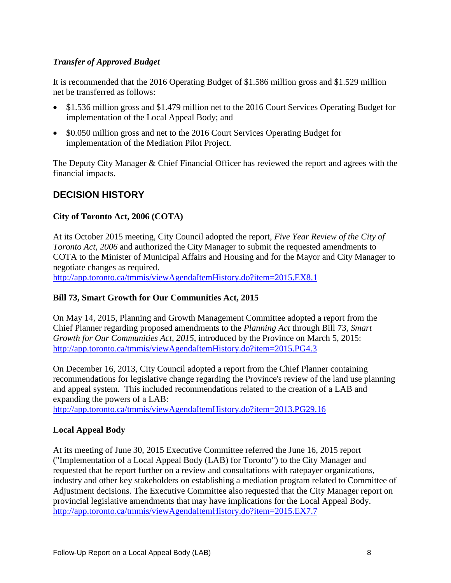#### *Transfer of Approved Budget*

It is recommended that the 2016 Operating Budget of \$1.586 million gross and \$1.529 million net be transferred as follows:

- \$1.536 million gross and \$1.479 million net to the 2016 Court Services Operating Budget for implementation of the Local Appeal Body; and
- \$0.050 million gross and net to the 2016 Court Services Operating Budget for implementation of the Mediation Pilot Project.

The Deputy City Manager & Chief Financial Officer has reviewed the report and agrees with the financial impacts.

# **DECISION HISTORY**

#### **City of Toronto Act, 2006 (COTA)**

At its October 2015 meeting, City Council adopted the report, *Five Year Review of the City of Toronto Act, 2006* and authorized the City Manager to submit the requested amendments to COTA to the Minister of Municipal Affairs and Housing and for the Mayor and City Manager to negotiate changes as required.

<http://app.toronto.ca/tmmis/viewAgendaItemHistory.do?item=2015.EX8.1>

#### **Bill 73, Smart Growth for Our Communities Act, 2015**

On May 14, 2015, Planning and Growth Management Committee adopted a report from the Chief Planner regarding proposed amendments to the *Planning Act* through Bill 73, *Smart Growth for Our Communities Act, 2015*, introduced by the Province on March 5, 2015: <http://app.toronto.ca/tmmis/viewAgendaItemHistory.do?item=2015.PG4.3>

On December 16, 2013, City Council adopted a report from the Chief Planner containing recommendations for legislative change regarding the Province's review of the land use planning and appeal system. This included recommendations related to the creation of a LAB and expanding the powers of a LAB:

<http://app.toronto.ca/tmmis/viewAgendaItemHistory.do?item=2013.PG29.16>

#### **Local Appeal Body**

At its meeting of June 30, 2015 Executive Committee referred the June 16, 2015 report ("Implementation of a Local Appeal Body (LAB) for Toronto") to the City Manager and requested that he report further on a review and consultations with ratepayer organizations, industry and other key stakeholders on establishing a mediation program related to Committee of Adjustment decisions. The Executive Committee also requested that the City Manager report on provincial legislative amendments that may have implications for the Local Appeal Body. <http://app.toronto.ca/tmmis/viewAgendaItemHistory.do?item=2015.EX7.7>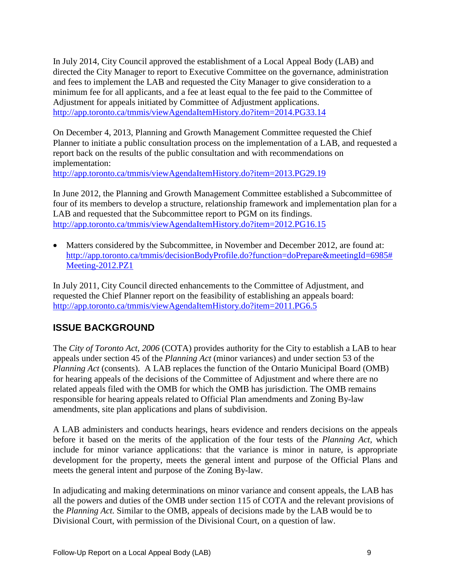In July 2014, City Council approved the establishment of a Local Appeal Body (LAB) and directed the City Manager to report to Executive Committee on the governance, administration and fees to implement the LAB and requested the City Manager to give consideration to a minimum fee for all applicants, and a fee at least equal to the fee paid to the Committee of Adjustment for appeals initiated by Committee of Adjustment applications. <http://app.toronto.ca/tmmis/viewAgendaItemHistory.do?item=2014.PG33.14>

On December 4, 2013, Planning and Growth Management Committee requested the Chief Planner to initiate a public consultation process on the implementation of a LAB, and requested a report back on the results of the public consultation and with recommendations on implementation:

<http://app.toronto.ca/tmmis/viewAgendaItemHistory.do?item=2013.PG29.19>

In June 2012, the Planning and Growth Management Committee established a Subcommittee of four of its members to develop a structure, relationship framework and implementation plan for a LAB and requested that the Subcommittee report to PGM on its findings. <http://app.toronto.ca/tmmis/viewAgendaItemHistory.do?item=2012.PG16.15>

• Matters considered by the Subcommittee, in November and December 2012, are found at: [http://app.toronto.ca/tmmis/decisionBodyProfile.do?function=doPrepare&meetingId=6985#](http://app.toronto.ca/tmmis/decisionBodyProfile.do?function=doPrepare&meetingId=6985%23Meeting-2012.PZ1) [Meeting-2012.PZ1](http://app.toronto.ca/tmmis/decisionBodyProfile.do?function=doPrepare&meetingId=6985%23Meeting-2012.PZ1)

In July 2011, City Council directed enhancements to the Committee of Adjustment, and requested the Chief Planner report on the feasibility of establishing an appeals board: <http://app.toronto.ca/tmmis/viewAgendaItemHistory.do?item=2011.PG6.5>

# **ISSUE BACKGROUND**

The *City of Toronto Act, 2006* (COTA) provides authority for the City to establish a LAB to hear appeals under section 45 of the *Planning Act* (minor variances) and under section 53 of the *Planning Act* (consents). A LAB replaces the function of the Ontario Municipal Board (OMB) for hearing appeals of the decisions of the Committee of Adjustment and where there are no related appeals filed with the OMB for which the OMB has jurisdiction. The OMB remains responsible for hearing appeals related to Official Plan amendments and Zoning By-law amendments, site plan applications and plans of subdivision.

A LAB administers and conducts hearings, hears evidence and renders decisions on the appeals before it based on the merits of the application of the four tests of the *Planning Act,* which include for minor variance applications: that the variance is minor in nature, is appropriate development for the property, meets the general intent and purpose of the Official Plans and meets the general intent and purpose of the Zoning By-law.

In adjudicating and making determinations on minor variance and consent appeals, the LAB has all the powers and duties of the OMB under section 115 of COTA and the relevant provisions of the *Planning Act.* Similar to the OMB, appeals of decisions made by the LAB would be to Divisional Court, with permission of the Divisional Court, on a question of law.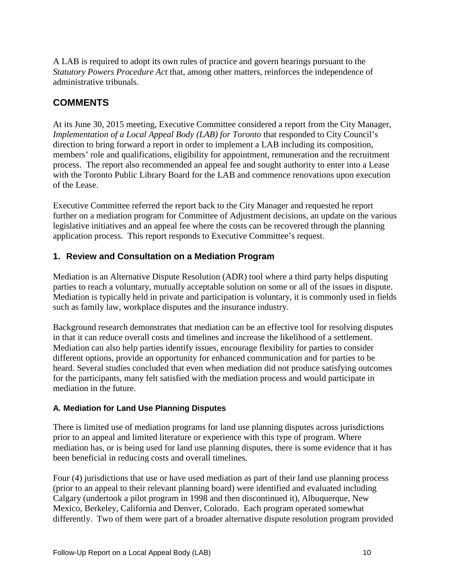A LAB is required to adopt its own rules of practice and govern hearings pursuant to the *Statutory Powers Procedure Act* that, among other matters, reinforces the independence of administrative tribunals.

# **COMMENTS**

At its June 30, 2015 meeting, Executive Committee considered a report from the City Manager, *Implementation of a Local Appeal Body (LAB) for Toronto* that responded to City Council's direction to bring forward a report in order to implement a LAB including its composition, members' role and qualifications, eligibility for appointment, remuneration and the recruitment process. The report also recommended an appeal fee and sought authority to enter into a Lease with the Toronto Public Library Board for the LAB and commence renovations upon execution of the Lease.

Executive Committee referred the report back to the City Manager and requested he report further on a mediation program for Committee of Adjustment decisions, an update on the various legislative initiatives and an appeal fee where the costs can be recovered through the planning application process. This report responds to Executive Committee's request.

#### **1. Review and Consultation on a Mediation Program**

Mediation is an Alternative Dispute Resolution (ADR) tool where a third party helps disputing parties to reach a voluntary, mutually acceptable solution on some or all of the issues in dispute. Mediation is typically held in private and participation is voluntary, it is commonly used in fields such as family law, workplace disputes and the insurance industry.

Background research demonstrates that mediation can be an effective tool for resolving disputes in that it can reduce overall costs and timelines and increase the likelihood of a settlement. Mediation can also help parties identify issues, encourage flexibility for parties to consider different options, provide an opportunity for enhanced communication and for parties to be heard. Several studies concluded that even when mediation did not produce satisfying outcomes for the participants, many felt satisfied with the mediation process and would participate in mediation in the future.

#### **A. Mediation for Land Use Planning Disputes**

There is limited use of mediation programs for land use planning disputes across jurisdictions prior to an appeal and limited literature or experience with this type of program. Where mediation has, or is being used for land use planning disputes, there is some evidence that it has been beneficial in reducing costs and overall timelines.

Four (4) jurisdictions that use or have used mediation as part of their land use planning process (prior to an appeal to their relevant planning board) were identified and evaluated including Calgary (undertook a pilot program in 1998 and then discontinued it), Albuquerque, New Mexico, Berkeley, California and Denver, Colorado. Each program operated somewhat differently. Two of them were part of a broader alternative dispute resolution program provided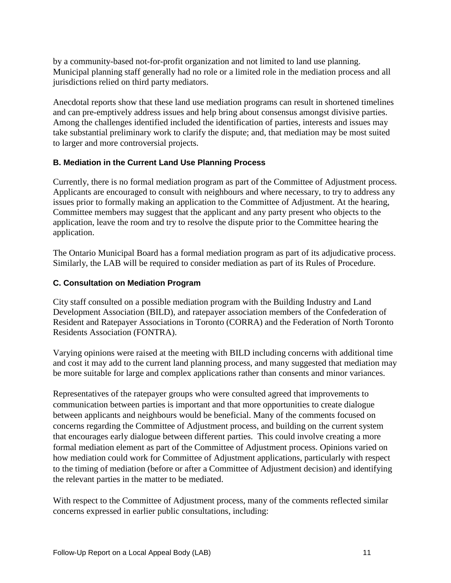by a community-based not-for-profit organization and not limited to land use planning. Municipal planning staff generally had no role or a limited role in the mediation process and all jurisdictions relied on third party mediators.

Anecdotal reports show that these land use mediation programs can result in shortened timelines and can pre-emptively address issues and help bring about consensus amongst divisive parties. Among the challenges identified included the identification of parties, interests and issues may take substantial preliminary work to clarify the dispute; and, that mediation may be most suited to larger and more controversial projects.

#### **B. Mediation in the Current Land Use Planning Process**

Currently, there is no formal mediation program as part of the Committee of Adjustment process. Applicants are encouraged to consult with neighbours and where necessary, to try to address any issues prior to formally making an application to the Committee of Adjustment. At the hearing, Committee members may suggest that the applicant and any party present who objects to the application, leave the room and try to resolve the dispute prior to the Committee hearing the application.

The Ontario Municipal Board has a formal mediation program as part of its adjudicative process. Similarly, the LAB will be required to consider mediation as part of its Rules of Procedure.

#### **C. Consultation on Mediation Program**

City staff consulted on a possible mediation program with the Building Industry and Land Development Association (BILD), and ratepayer association members of the Confederation of Resident and Ratepayer Associations in Toronto (CORRA) and the Federation of North Toronto Residents Association (FONTRA).

Varying opinions were raised at the meeting with BILD including concerns with additional time and cost it may add to the current land planning process, and many suggested that mediation may be more suitable for large and complex applications rather than consents and minor variances.

Representatives of the ratepayer groups who were consulted agreed that improvements to communication between parties is important and that more opportunities to create dialogue between applicants and neighbours would be beneficial. Many of the comments focused on concerns regarding the Committee of Adjustment process, and building on the current system that encourages early dialogue between different parties. This could involve creating a more formal mediation element as part of the Committee of Adjustment process. Opinions varied on how mediation could work for Committee of Adjustment applications, particularly with respect to the timing of mediation (before or after a Committee of Adjustment decision) and identifying the relevant parties in the matter to be mediated.

With respect to the Committee of Adjustment process, many of the comments reflected similar concerns expressed in earlier public consultations, including: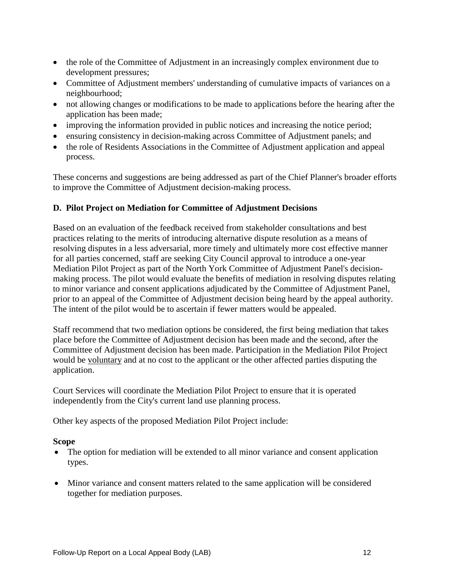- the role of the Committee of Adjustment in an increasingly complex environment due to development pressures;
- Committee of Adjustment members' understanding of cumulative impacts of variances on a neighbourhood;
- not allowing changes or modifications to be made to applications before the hearing after the application has been made;
- improving the information provided in public notices and increasing the notice period;
- ensuring consistency in decision-making across Committee of Adjustment panels; and
- the role of Residents Associations in the Committee of Adjustment application and appeal process.

These concerns and suggestions are being addressed as part of the Chief Planner's broader efforts to improve the Committee of Adjustment decision-making process.

#### **D. Pilot Project on Mediation for Committee of Adjustment Decisions**

Based on an evaluation of the feedback received from stakeholder consultations and best practices relating to the merits of introducing alternative dispute resolution as a means of resolving disputes in a less adversarial, more timely and ultimately more cost effective manner for all parties concerned, staff are seeking City Council approval to introduce a one-year Mediation Pilot Project as part of the North York Committee of Adjustment Panel's decisionmaking process. The pilot would evaluate the benefits of mediation in resolving disputes relating to minor variance and consent applications adjudicated by the Committee of Adjustment Panel, prior to an appeal of the Committee of Adjustment decision being heard by the appeal authority. The intent of the pilot would be to ascertain if fewer matters would be appealed.

Staff recommend that two mediation options be considered, the first being mediation that takes place before the Committee of Adjustment decision has been made and the second, after the Committee of Adjustment decision has been made. Participation in the Mediation Pilot Project would be voluntary and at no cost to the applicant or the other affected parties disputing the application.

Court Services will coordinate the Mediation Pilot Project to ensure that it is operated independently from the City's current land use planning process.

Other key aspects of the proposed Mediation Pilot Project include:

#### **Scope**

- The option for mediation will be extended to all minor variance and consent application types.
- Minor variance and consent matters related to the same application will be considered together for mediation purposes.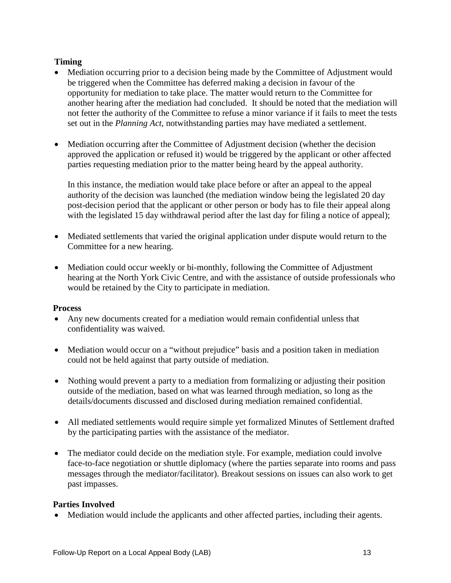#### **Timing**

- Mediation occurring prior to a decision being made by the Committee of Adjustment would be triggered when the Committee has deferred making a decision in favour of the opportunity for mediation to take place. The matter would return to the Committee for another hearing after the mediation had concluded. It should be noted that the mediation will not fetter the authority of the Committee to refuse a minor variance if it fails to meet the tests set out in the *Planning Act,* notwithstanding parties may have mediated a settlement.
- Mediation occurring after the Committee of Adjustment decision (whether the decision approved the application or refused it) would be triggered by the applicant or other affected parties requesting mediation prior to the matter being heard by the appeal authority.

In this instance, the mediation would take place before or after an appeal to the appeal authority of the decision was launched (the mediation window being the legislated 20 day post-decision period that the applicant or other person or body has to file their appeal along with the legislated 15 day withdrawal period after the last day for filing a notice of appeal);

- Mediated settlements that varied the original application under dispute would return to the Committee for a new hearing.
- Mediation could occur weekly or bi-monthly, following the Committee of Adjustment hearing at the North York Civic Centre, and with the assistance of outside professionals who would be retained by the City to participate in mediation.

#### **Process**

- Any new documents created for a mediation would remain confidential unless that confidentiality was waived.
- Mediation would occur on a "without prejudice" basis and a position taken in mediation could not be held against that party outside of mediation.
- Nothing would prevent a party to a mediation from formalizing or adjusting their position outside of the mediation, based on what was learned through mediation, so long as the details/documents discussed and disclosed during mediation remained confidential.
- All mediated settlements would require simple yet formalized Minutes of Settlement drafted by the participating parties with the assistance of the mediator.
- The mediator could decide on the mediation style. For example, mediation could involve face-to-face negotiation or shuttle diplomacy (where the parties separate into rooms and pass messages through the mediator/facilitator). Breakout sessions on issues can also work to get past impasses.

#### **Parties Involved**

• Mediation would include the applicants and other affected parties, including their agents.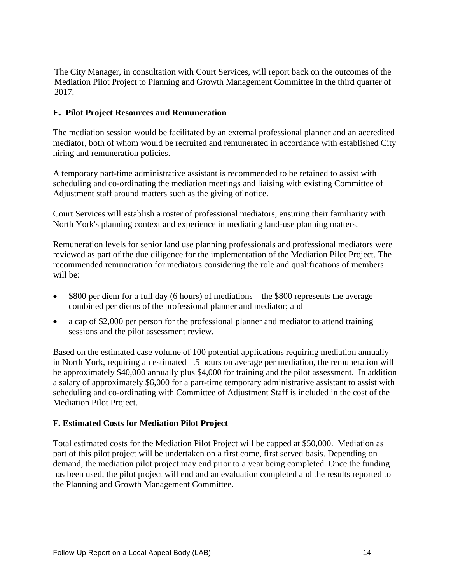The City Manager, in consultation with Court Services, will report back on the outcomes of the Mediation Pilot Project to Planning and Growth Management Committee in the third quarter of 2017.

#### **E. Pilot Project Resources and Remuneration**

The mediation session would be facilitated by an external professional planner and an accredited mediator, both of whom would be recruited and remunerated in accordance with established City hiring and remuneration policies.

A temporary part-time administrative assistant is recommended to be retained to assist with scheduling and co-ordinating the mediation meetings and liaising with existing Committee of Adjustment staff around matters such as the giving of notice.

Court Services will establish a roster of professional mediators, ensuring their familiarity with North York's planning context and experience in mediating land-use planning matters.

Remuneration levels for senior land use planning professionals and professional mediators were reviewed as part of the due diligence for the implementation of the Mediation Pilot Project. The recommended remuneration for mediators considering the role and qualifications of members will be:

- \$800 per diem for a full day (6 hours) of mediations the \$800 represents the average combined per diems of the professional planner and mediator; and
- a cap of \$2,000 per person for the professional planner and mediator to attend training sessions and the pilot assessment review.

Based on the estimated case volume of 100 potential applications requiring mediation annually in North York, requiring an estimated 1.5 hours on average per mediation, the remuneration will be approximately \$40,000 annually plus \$4,000 for training and the pilot assessment. In addition a salary of approximately \$6,000 for a part-time temporary administrative assistant to assist with scheduling and co-ordinating with Committee of Adjustment Staff is included in the cost of the Mediation Pilot Project.

#### **F. Estimated Costs for Mediation Pilot Project**

Total estimated costs for the Mediation Pilot Project will be capped at \$50,000. Mediation as part of this pilot project will be undertaken on a first come, first served basis. Depending on demand, the mediation pilot project may end prior to a year being completed. Once the funding has been used, the pilot project will end and an evaluation completed and the results reported to the Planning and Growth Management Committee.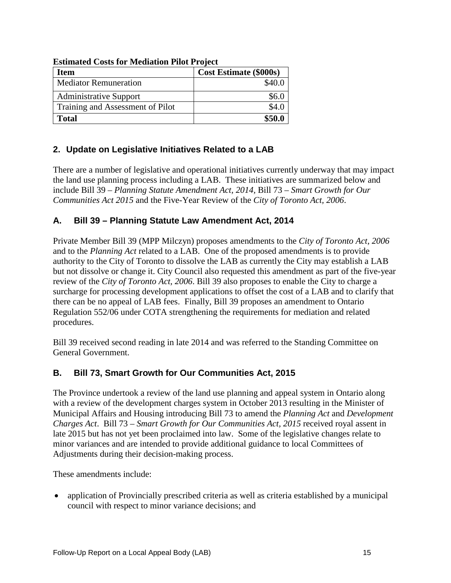| Item                             | <b>Cost Estimate (\$000s)</b> |
|----------------------------------|-------------------------------|
| <b>Mediator Remuneration</b>     | \$40.0                        |
| <b>Administrative Support</b>    | \$6.C                         |
| Training and Assessment of Pilot | \$4.0                         |
| <b>Total</b>                     | \$50.0                        |

**Estimated Costs for Mediation Pilot Project**

# **2. Update on Legislative Initiatives Related to a LAB**

There are a number of legislative and operational initiatives currently underway that may impact the land use planning process including a LAB. These initiatives are summarized below and include Bill 39 – *Planning Statute Amendment Act, 2014,* Bill 73 – *Smart Growth for Our Communities Act 2015* and the Five-Year Review of the *City of Toronto Act, 2006*.

# **A. Bill 39 – Planning Statute Law Amendment Act, 2014**

Private Member Bill 39 (MPP Milczyn) proposes amendments to the *City of Toronto Act, 2006* and to the *Planning Act* related to a LAB. One of the proposed amendments is to provide authority to the City of Toronto to dissolve the LAB as currently the City may establish a LAB but not dissolve or change it. City Council also requested this amendment as part of the five-year review of the *City of Toronto Act, 2006*. Bill 39 also proposes to enable the City to charge a surcharge for processing development applications to offset the cost of a LAB and to clarify that there can be no appeal of LAB fees. Finally, Bill 39 proposes an amendment to Ontario Regulation 552/06 under COTA strengthening the requirements for mediation and related procedures.

Bill 39 received second reading in late 2014 and was referred to the Standing Committee on General Government.

# **B. Bill 73, Smart Growth for Our Communities Act, 2015**

The Province undertook a review of the land use planning and appeal system in Ontario along with a review of the development charges system in October 2013 resulting in the Minister of Municipal Affairs and Housing introducing Bill 73 to amend the *Planning Act* and *Development Charges Act*. Bill 73 – *Smart Growth for Our Communities Act, 2015* received royal assent in late 2015 but has not yet been proclaimed into law. Some of the legislative changes relate to minor variances and are intended to provide additional guidance to local Committees of Adjustments during their decision-making process.

These amendments include:

• application of Provincially prescribed criteria as well as criteria established by a municipal council with respect to minor variance decisions; and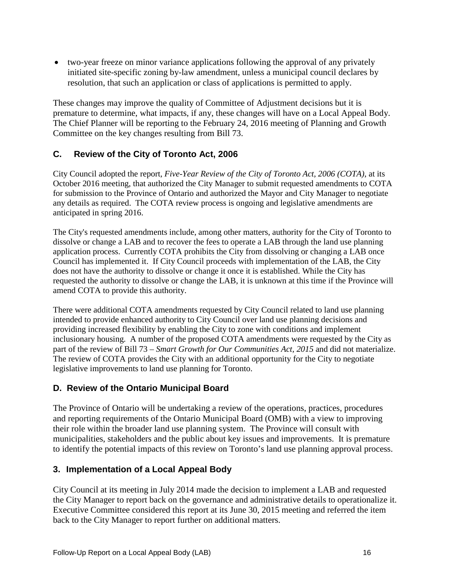• two-year freeze on minor variance applications following the approval of any privately initiated site-specific zoning by-law amendment, unless a municipal council declares by resolution, that such an application or class of applications is permitted to apply.

These changes may improve the quality of Committee of Adjustment decisions but it is premature to determine, what impacts, if any, these changes will have on a Local Appeal Body. The Chief Planner will be reporting to the February 24, 2016 meeting of Planning and Growth Committee on the key changes resulting from Bill 73.

# **C. Review of the City of Toronto Act, 2006**

City Council adopted the report*, Five-Year Review of the City of Toronto Act, 2006 (COTA)*, at its October 2016 meeting, that authorized the City Manager to submit requested amendments to COTA for submission to the Province of Ontario and authorized the Mayor and City Manager to negotiate any details as required. The COTA review process is ongoing and legislative amendments are anticipated in spring 2016.

The City's requested amendments include, among other matters, authority for the City of Toronto to dissolve or change a LAB and to recover the fees to operate a LAB through the land use planning application process. Currently COTA prohibits the City from dissolving or changing a LAB once Council has implemented it. If City Council proceeds with implementation of the LAB, the City does not have the authority to dissolve or change it once it is established. While the City has requested the authority to dissolve or change the LAB, it is unknown at this time if the Province will amend COTA to provide this authority.

There were additional COTA amendments requested by City Council related to land use planning intended to provide enhanced authority to City Council over land use planning decisions and providing increased flexibility by enabling the City to zone with conditions and implement inclusionary housing. A number of the proposed COTA amendments were requested by the City as part of the review of Bill 73 – *Smart Growth for Our Communities Act, 2015* and did not materialize. The review of COTA provides the City with an additional opportunity for the City to negotiate legislative improvements to land use planning for Toronto.

#### **D. Review of the Ontario Municipal Board**

The Province of Ontario will be undertaking a review of the operations, practices, procedures and reporting requirements of the Ontario Municipal Board (OMB) with a view to improving their role within the broader land use planning system. The Province will consult with municipalities, stakeholders and the public about key issues and improvements. It is premature to identify the potential impacts of this review on Toronto's land use planning approval process.

#### **3. Implementation of a Local Appeal Body**

City Council at its meeting in July 2014 made the decision to implement a LAB and requested the City Manager to report back on the governance and administrative details to operationalize it. Executive Committee considered this report at its June 30, 2015 meeting and referred the item back to the City Manager to report further on additional matters.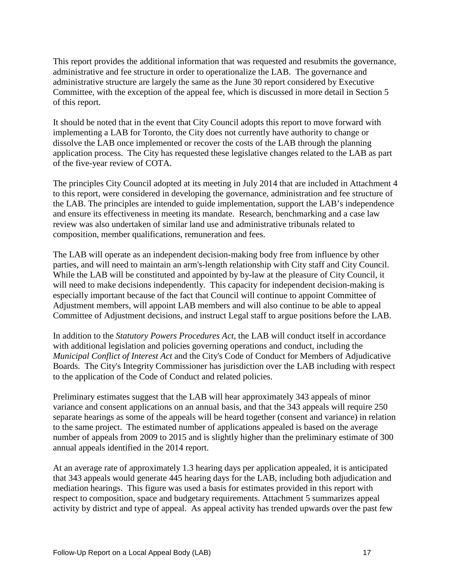This report provides the additional information that was requested and resubmits the governance, administrative and fee structure in order to operationalize the LAB. The governance and administrative structure are largely the same as the June 30 report considered by Executive Committee, with the exception of the appeal fee, which is discussed in more detail in Section 5 of this report.

It should be noted that in the event that City Council adopts this report to move forward with implementing a LAB for Toronto, the City does not currently have authority to change or dissolve the LAB once implemented or recover the costs of the LAB through the planning application process. The City has requested these legislative changes related to the LAB as part of the five-year review of COTA.

The principles City Council adopted at its meeting in July 2014 that are included in Attachment 4 to this report, were considered in developing the governance, administration and fee structure of the LAB. The principles are intended to guide implementation, support the LAB's independence and ensure its effectiveness in meeting its mandate. Research, benchmarking and a case law review was also undertaken of similar land use and administrative tribunals related to composition, member qualifications, remuneration and fees.

The LAB will operate as an independent decision-making body free from influence by other parties, and will need to maintain an arm's-length relationship with City staff and City Council. While the LAB will be constituted and appointed by by-law at the pleasure of City Council, it will need to make decisions independently. This capacity for independent decision-making is especially important because of the fact that Council will continue to appoint Committee of Adjustment members, will appoint LAB members and will also continue to be able to appeal Committee of Adjustment decisions, and instruct Legal staff to argue positions before the LAB.

In addition to the *Statutory Powers Procedures Act*, the LAB will conduct itself in accordance with additional legislation and policies governing operations and conduct, including the *Municipal Conflict of Interest Act* and the City's Code of Conduct for Members of Adjudicative Boards. The City's Integrity Commissioner has jurisdiction over the LAB including with respect to the application of the Code of Conduct and related policies.

Preliminary estimates suggest that the LAB will hear approximately 343 appeals of minor variance and consent applications on an annual basis, and that the 343 appeals will require 250 separate hearings as some of the appeals will be heard together (consent and variance) in relation to the same project. The estimated number of applications appealed is based on the average number of appeals from 2009 to 2015 and is slightly higher than the preliminary estimate of 300 annual appeals identified in the 2014 report.

At an average rate of approximately 1.3 hearing days per application appealed, it is anticipated that 343 appeals would generate 445 hearing days for the LAB, including both adjudication and mediation hearings. This figure was used a basis for estimates provided in this report with respect to composition, space and budgetary requirements. Attachment 5 summarizes appeal activity by district and type of appeal. As appeal activity has trended upwards over the past few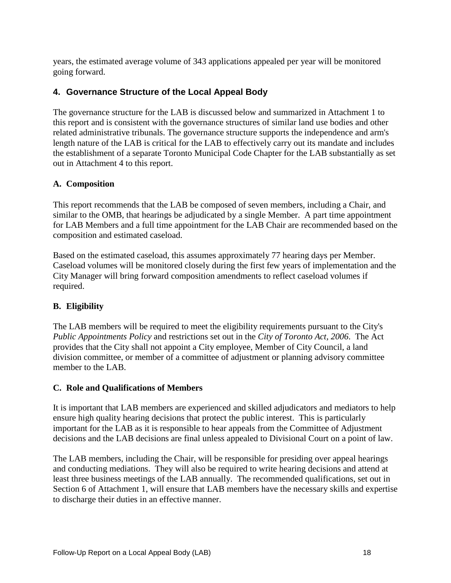years, the estimated average volume of 343 applications appealed per year will be monitored going forward.

#### **4. Governance Structure of the Local Appeal Body**

The governance structure for the LAB is discussed below and summarized in Attachment 1 to this report and is consistent with the governance structures of similar land use bodies and other related administrative tribunals. The governance structure supports the independence and arm's length nature of the LAB is critical for the LAB to effectively carry out its mandate and includes the establishment of a separate Toronto Municipal Code Chapter for the LAB substantially as set out in Attachment 4 to this report.

#### **A. Composition**

This report recommends that the LAB be composed of seven members, including a Chair, and similar to the OMB, that hearings be adjudicated by a single Member. A part time appointment for LAB Members and a full time appointment for the LAB Chair are recommended based on the composition and estimated caseload.

Based on the estimated caseload, this assumes approximately 77 hearing days per Member. Caseload volumes will be monitored closely during the first few years of implementation and the City Manager will bring forward composition amendments to reflect caseload volumes if required.

#### **B. Eligibility**

The LAB members will be required to meet the eligibility requirements pursuant to the City's *Public Appointments Policy* and restrictions set out in the *City of Toronto Act, 2006*. The Act provides that the City shall not appoint a City employee, Member of City Council, a land division committee, or member of a committee of adjustment or planning advisory committee member to the LAB.

#### **C. Role and Qualifications of Members**

It is important that LAB members are experienced and skilled adjudicators and mediators to help ensure high quality hearing decisions that protect the public interest. This is particularly important for the LAB as it is responsible to hear appeals from the Committee of Adjustment decisions and the LAB decisions are final unless appealed to Divisional Court on a point of law.

The LAB members, including the Chair, will be responsible for presiding over appeal hearings and conducting mediations. They will also be required to write hearing decisions and attend at least three business meetings of the LAB annually. The recommended qualifications, set out in Section 6 of Attachment 1, will ensure that LAB members have the necessary skills and expertise to discharge their duties in an effective manner.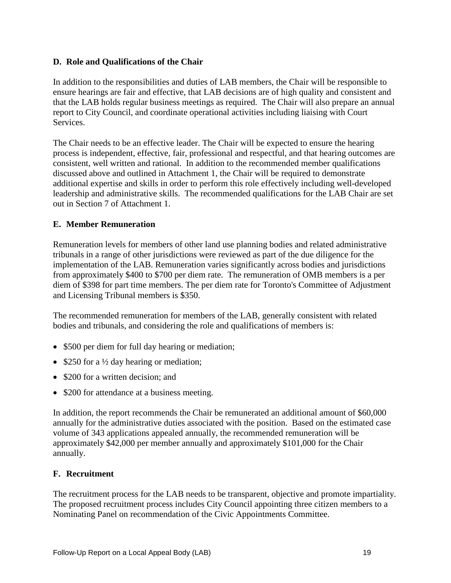#### **D. Role and Qualifications of the Chair**

In addition to the responsibilities and duties of LAB members, the Chair will be responsible to ensure hearings are fair and effective, that LAB decisions are of high quality and consistent and that the LAB holds regular business meetings as required. The Chair will also prepare an annual report to City Council, and coordinate operational activities including liaising with Court Services.

The Chair needs to be an effective leader. The Chair will be expected to ensure the hearing process is independent, effective, fair, professional and respectful, and that hearing outcomes are consistent, well written and rational. In addition to the recommended member qualifications discussed above and outlined in Attachment 1, the Chair will be required to demonstrate additional expertise and skills in order to perform this role effectively including well-developed leadership and administrative skills. The recommended qualifications for the LAB Chair are set out in Section 7 of Attachment 1.

#### **E. Member Remuneration**

Remuneration levels for members of other land use planning bodies and related administrative tribunals in a range of other jurisdictions were reviewed as part of the due diligence for the implementation of the LAB. Remuneration varies significantly across bodies and jurisdictions from approximately \$400 to \$700 per diem rate. The remuneration of OMB members is a per diem of \$398 for part time members. The per diem rate for Toronto's Committee of Adjustment and Licensing Tribunal members is \$350.

The recommended remuneration for members of the LAB, generally consistent with related bodies and tribunals, and considering the role and qualifications of members is:

- \$500 per diem for full day hearing or mediation;
- \$250 for a ½ day hearing or mediation;
- \$200 for a written decision; and
- \$200 for attendance at a business meeting.

In addition, the report recommends the Chair be remunerated an additional amount of \$60,000 annually for the administrative duties associated with the position. Based on the estimated case volume of 343 applications appealed annually, the recommended remuneration will be approximately \$42,000 per member annually and approximately \$101,000 for the Chair annually.

#### **F. Recruitment**

The recruitment process for the LAB needs to be transparent, objective and promote impartiality. The proposed recruitment process includes City Council appointing three citizen members to a Nominating Panel on recommendation of the Civic Appointments Committee.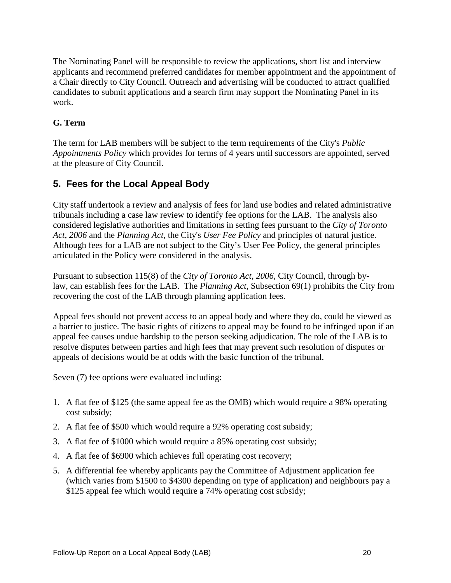The Nominating Panel will be responsible to review the applications, short list and interview applicants and recommend preferred candidates for member appointment and the appointment of a Chair directly to City Council. Outreach and advertising will be conducted to attract qualified candidates to submit applications and a search firm may support the Nominating Panel in its work.

#### **G. Term**

The term for LAB members will be subject to the term requirements of the City's *Public Appointments Policy* which provides for terms of 4 years until successors are appointed, served at the pleasure of City Council.

# **5. Fees for the Local Appeal Body**

City staff undertook a review and analysis of fees for land use bodies and related administrative tribunals including a case law review to identify fee options for the LAB. The analysis also considered legislative authorities and limitations in setting fees pursuant to the *City of Toronto Act, 2006* and the *Planning Act*, the City's *User Fee Policy* and principles of natural justice. Although fees for a LAB are not subject to the City's User Fee Policy, the general principles articulated in the Policy were considered in the analysis.

Pursuant to subsection 115(8) of the *City of Toronto Act, 2006*, City Council, through bylaw, can establish fees for the LAB. The *Planning Act*, Subsection 69(1) prohibits the City from recovering the cost of the LAB through planning application fees.

Appeal fees should not prevent access to an appeal body and where they do, could be viewed as a barrier to justice. The basic rights of citizens to appeal may be found to be infringed upon if an appeal fee causes undue hardship to the person seeking adjudication. The role of the LAB is to resolve disputes between parties and high fees that may prevent such resolution of disputes or appeals of decisions would be at odds with the basic function of the tribunal.

Seven (7) fee options were evaluated including:

- 1. A flat fee of \$125 (the same appeal fee as the OMB) which would require a 98% operating cost subsidy;
- 2. A flat fee of \$500 which would require a 92% operating cost subsidy;
- 3. A flat fee of \$1000 which would require a 85% operating cost subsidy;
- 4. A flat fee of \$6900 which achieves full operating cost recovery;
- 5. A differential fee whereby applicants pay the Committee of Adjustment application fee (which varies from \$1500 to \$4300 depending on type of application) and neighbours pay a \$125 appeal fee which would require a 74% operating cost subsidy;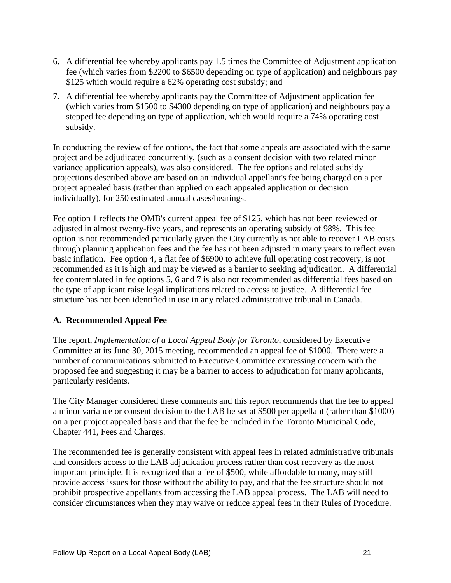- 6. A differential fee whereby applicants pay 1.5 times the Committee of Adjustment application fee (which varies from \$2200 to \$6500 depending on type of application) and neighbours pay \$125 which would require a 62% operating cost subsidy; and
- 7. A differential fee whereby applicants pay the Committee of Adjustment application fee (which varies from \$1500 to \$4300 depending on type of application) and neighbours pay a stepped fee depending on type of application, which would require a 74% operating cost subsidy.

In conducting the review of fee options, the fact that some appeals are associated with the same project and be adjudicated concurrently, (such as a consent decision with two related minor variance application appeals), was also considered. The fee options and related subsidy projections described above are based on an individual appellant's fee being charged on a per project appealed basis (rather than applied on each appealed application or decision individually), for 250 estimated annual cases/hearings.

Fee option 1 reflects the OMB's current appeal fee of \$125, which has not been reviewed or adjusted in almost twenty-five years, and represents an operating subsidy of 98%. This fee option is not recommended particularly given the City currently is not able to recover LAB costs through planning application fees and the fee has not been adjusted in many years to reflect even basic inflation. Fee option 4, a flat fee of \$6900 to achieve full operating cost recovery, is not recommended as it is high and may be viewed as a barrier to seeking adjudication. A differential fee contemplated in fee options 5, 6 and 7 is also not recommended as differential fees based on the type of applicant raise legal implications related to access to justice. A differential fee structure has not been identified in use in any related administrative tribunal in Canada.

#### **A. Recommended Appeal Fee**

The report, *Implementation of a Local Appeal Body for Toronto*, considered by Executive Committee at its June 30, 2015 meeting, recommended an appeal fee of \$1000. There were a number of communications submitted to Executive Committee expressing concern with the proposed fee and suggesting it may be a barrier to access to adjudication for many applicants, particularly residents.

The City Manager considered these comments and this report recommends that the fee to appeal a minor variance or consent decision to the LAB be set at \$500 per appellant (rather than \$1000) on a per project appealed basis and that the fee be included in the Toronto Municipal Code, Chapter 441, Fees and Charges.

The recommended fee is generally consistent with appeal fees in related administrative tribunals and considers access to the LAB adjudication process rather than cost recovery as the most important principle. It is recognized that a fee of \$500, while affordable to many, may still provide access issues for those without the ability to pay, and that the fee structure should not prohibit prospective appellants from accessing the LAB appeal process. The LAB will need to consider circumstances when they may waive or reduce appeal fees in their Rules of Procedure.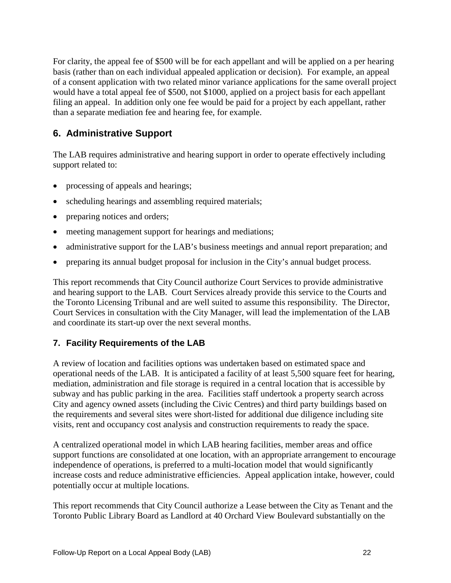For clarity, the appeal fee of \$500 will be for each appellant and will be applied on a per hearing basis (rather than on each individual appealed application or decision). For example, an appeal of a consent application with two related minor variance applications for the same overall project would have a total appeal fee of \$500, not \$1000, applied on a project basis for each appellant filing an appeal. In addition only one fee would be paid for a project by each appellant, rather than a separate mediation fee and hearing fee, for example.

# **6. Administrative Support**

The LAB requires administrative and hearing support in order to operate effectively including support related to:

- processing of appeals and hearings;
- scheduling hearings and assembling required materials;
- preparing notices and orders;
- meeting management support for hearings and mediations;
- administrative support for the LAB's business meetings and annual report preparation; and
- preparing its annual budget proposal for inclusion in the City's annual budget process.

This report recommends that City Council authorize Court Services to provide administrative and hearing support to the LAB. Court Services already provide this service to the Courts and the Toronto Licensing Tribunal and are well suited to assume this responsibility. The Director, Court Services in consultation with the City Manager, will lead the implementation of the LAB and coordinate its start-up over the next several months.

#### **7. Facility Requirements of the LAB**

A review of location and facilities options was undertaken based on estimated space and operational needs of the LAB. It is anticipated a facility of at least 5,500 square feet for hearing, mediation, administration and file storage is required in a central location that is accessible by subway and has public parking in the area. Facilities staff undertook a property search across City and agency owned assets (including the Civic Centres) and third party buildings based on the requirements and several sites were short-listed for additional due diligence including site visits, rent and occupancy cost analysis and construction requirements to ready the space.

A centralized operational model in which LAB hearing facilities, member areas and office support functions are consolidated at one location, with an appropriate arrangement to encourage independence of operations, is preferred to a multi-location model that would significantly increase costs and reduce administrative efficiencies. Appeal application intake, however, could potentially occur at multiple locations.

This report recommends that City Council authorize a Lease between the City as Tenant and the Toronto Public Library Board as Landlord at 40 Orchard View Boulevard substantially on the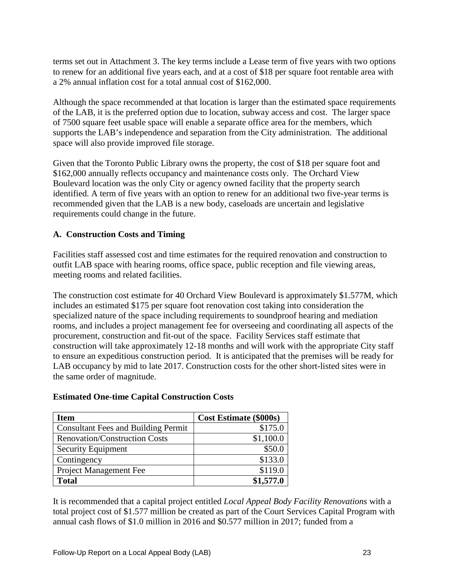terms set out in Attachment 3. The key terms include a Lease term of five years with two options to renew for an additional five years each, and at a cost of \$18 per square foot rentable area with a 2% annual inflation cost for a total annual cost of \$162,000.

Although the space recommended at that location is larger than the estimated space requirements of the LAB, it is the preferred option due to location, subway access and cost. The larger space of 7500 square feet usable space will enable a separate office area for the members, which supports the LAB's independence and separation from the City administration. The additional space will also provide improved file storage.

Given that the Toronto Public Library owns the property, the cost of \$18 per square foot and \$162,000 annually reflects occupancy and maintenance costs only. The Orchard View Boulevard location was the only City or agency owned facility that the property search identified. A term of five years with an option to renew for an additional two five-year terms is recommended given that the LAB is a new body, caseloads are uncertain and legislative requirements could change in the future.

#### **A. Construction Costs and Timing**

Facilities staff assessed cost and time estimates for the required renovation and construction to outfit LAB space with hearing rooms, office space, public reception and file viewing areas, meeting rooms and related facilities.

The construction cost estimate for 40 Orchard View Boulevard is approximately \$1.577M, which includes an estimated \$175 per square foot renovation cost taking into consideration the specialized nature of the space including requirements to soundproof hearing and mediation rooms, and includes a project management fee for overseeing and coordinating all aspects of the procurement, construction and fit-out of the space. Facility Services staff estimate that construction will take approximately 12-18 months and will work with the appropriate City staff to ensure an expeditious construction period. It is anticipated that the premises will be ready for LAB occupancy by mid to late 2017. Construction costs for the other short-listed sites were in the same order of magnitude.

#### **Estimated One-time Capital Construction Costs**

| <b>Item</b>                                | <b>Cost Estimate (\$000s)</b> |
|--------------------------------------------|-------------------------------|
| <b>Consultant Fees and Building Permit</b> | \$175.0                       |
| <b>Renovation/Construction Costs</b>       | \$1,100.0                     |
| <b>Security Equipment</b>                  | \$50.0                        |
| Contingency                                | \$133.0                       |
| Project Management Fee                     | \$119.0                       |
| <b>Total</b>                               | \$1,577.0                     |

It is recommended that a capital project entitled *Local Appeal Body Facility Renovations* with a total project cost of \$1.577 million be created as part of the Court Services Capital Program with annual cash flows of \$1.0 million in 2016 and \$0.577 million in 2017; funded from a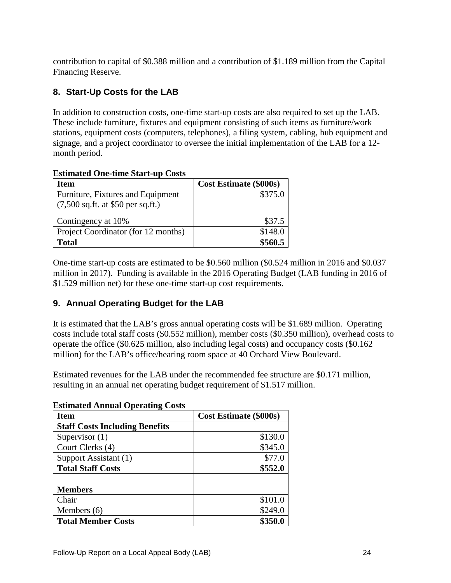contribution to capital of \$0.388 million and a contribution of \$1.189 million from the Capital Financing Reserve.

## **8. Start-Up Costs for the LAB**

In addition to construction costs, one-time start-up costs are also required to set up the LAB. These include furniture, fixtures and equipment consisting of such items as furniture/work stations, equipment costs (computers, telephones), a filing system, cabling, hub equipment and signage, and a project coordinator to oversee the initial implementation of the LAB for a 12 month period.

| <b>Estimated One-time Start-up Costs</b> |  |  |  |
|------------------------------------------|--|--|--|
|------------------------------------------|--|--|--|

| <b>Item</b>                                         | <b>Cost Estimate (\$000s)</b> |
|-----------------------------------------------------|-------------------------------|
| Furniture, Fixtures and Equipment                   | \$375.0                       |
| $(7,500 \text{ sq.ft. at } $50 \text{ per sq.ft.})$ |                               |
|                                                     |                               |
| Contingency at 10%                                  | \$37.5                        |
| Project Coordinator (for 12 months)                 | \$148.0                       |
| <b>Total</b>                                        | \$560.5                       |

One-time start-up costs are estimated to be \$0.560 million (\$0.524 million in 2016 and \$0.037 million in 2017). Funding is available in the 2016 Operating Budget (LAB funding in 2016 of \$1.529 million net) for these one-time start-up cost requirements.

#### **9. Annual Operating Budget for the LAB**

It is estimated that the LAB's gross annual operating costs will be \$1.689 million. Operating costs include total staff costs (\$0.552 million), member costs (\$0.350 million), overhead costs to operate the office (\$0.625 million, also including legal costs) and occupancy costs (\$0.162 million) for the LAB's office/hearing room space at 40 Orchard View Boulevard.

Estimated revenues for the LAB under the recommended fee structure are \$0.171 million, resulting in an annual net operating budget requirement of \$1.517 million.

| <b>Item</b>                           | <b>Cost Estimate (\$000s)</b> |  |  |  |
|---------------------------------------|-------------------------------|--|--|--|
| <b>Staff Costs Including Benefits</b> |                               |  |  |  |
| Supervisor $(1)$                      | \$130.0                       |  |  |  |
| Court Clerks (4)                      | \$345.0                       |  |  |  |
| Support Assistant (1)                 | \$77.0                        |  |  |  |
| <b>Total Staff Costs</b>              | \$552.0                       |  |  |  |
| <b>Members</b>                        |                               |  |  |  |
| Chair                                 | \$101.0                       |  |  |  |
| Members $(6)$                         | \$249.0                       |  |  |  |
| <b>Total Member Costs</b>             | \$350.0                       |  |  |  |

#### **Estimated Annual Operating Costs**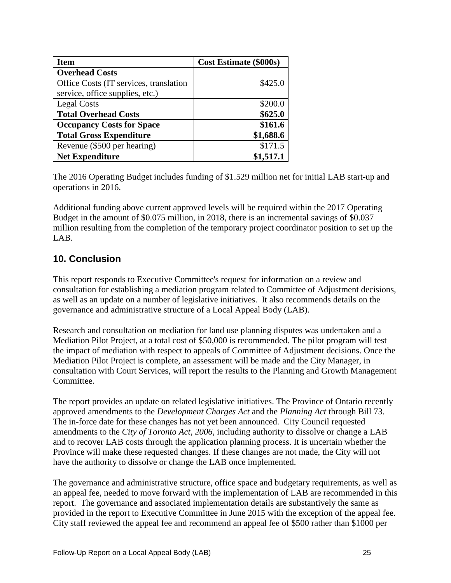| <b>Item</b>                            | <b>Cost Estimate (\$000s)</b> |
|----------------------------------------|-------------------------------|
| <b>Overhead Costs</b>                  |                               |
| Office Costs (IT services, translation | \$425.0                       |
| service, office supplies, etc.)        |                               |
| <b>Legal Costs</b>                     | \$200.0                       |
| <b>Total Overhead Costs</b>            | \$625.0                       |
| <b>Occupancy Costs for Space</b>       | \$161.6                       |
| <b>Total Gross Expenditure</b>         | \$1,688.6                     |
| Revenue (\$500 per hearing)            | \$171.5                       |
| <b>Net Expenditure</b>                 | \$1,517.1                     |

The 2016 Operating Budget includes funding of \$1.529 million net for initial LAB start-up and operations in 2016.

Additional funding above current approved levels will be required within the 2017 Operating Budget in the amount of \$0.075 million, in 2018, there is an incremental savings of \$0.037 million resulting from the completion of the temporary project coordinator position to set up the LAB.

# **10. Conclusion**

This report responds to Executive Committee's request for information on a review and consultation for establishing a mediation program related to Committee of Adjustment decisions, as well as an update on a number of legislative initiatives. It also recommends details on the governance and administrative structure of a Local Appeal Body (LAB).

Research and consultation on mediation for land use planning disputes was undertaken and a Mediation Pilot Project, at a total cost of \$50,000 is recommended. The pilot program will test the impact of mediation with respect to appeals of Committee of Adjustment decisions. Once the Mediation Pilot Project is complete, an assessment will be made and the City Manager, in consultation with Court Services, will report the results to the Planning and Growth Management Committee.

The report provides an update on related legislative initiatives. The Province of Ontario recently approved amendments to the *Development Charges Act* and the *Planning Act* through Bill 73. The in-force date for these changes has not yet been announced. City Council requested amendments to the *City of Toronto Act, 2006,* including authority to dissolve or change a LAB and to recover LAB costs through the application planning process. It is uncertain whether the Province will make these requested changes. If these changes are not made, the City will not have the authority to dissolve or change the LAB once implemented.

The governance and administrative structure, office space and budgetary requirements, as well as an appeal fee, needed to move forward with the implementation of LAB are recommended in this report. The governance and associated implementation details are substantively the same as provided in the report to Executive Committee in June 2015 with the exception of the appeal fee. City staff reviewed the appeal fee and recommend an appeal fee of \$500 rather than \$1000 per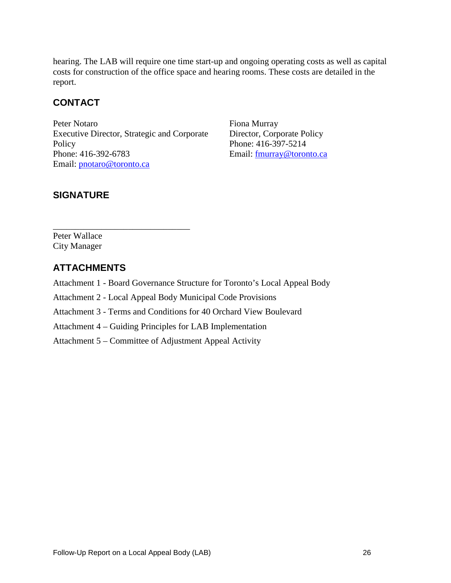hearing. The LAB will require one time start-up and ongoing operating costs as well as capital costs for construction of the office space and hearing rooms. These costs are detailed in the report.

# **CONTACT**

Peter Notaro Executive Director, Strategic and Corporate **Policy** Phone: 416-392-6783 Email: [pnotaro@toronto.ca](mailto:pnotaro@toronto.ca) 

\_\_\_\_\_\_\_\_\_\_\_\_\_\_\_\_\_\_\_\_\_\_\_\_\_\_\_\_\_\_\_

Fiona Murray Director, Corporate Policy Phone: 416-397-5214 Email: [fmurray@toronto.ca](mailto:fmurray@toronto.ca)

# **SIGNATURE**

Peter Wallace City Manager

# **ATTACHMENTS**

Attachment 1 - Board Governance Structure for Toronto's Local Appeal Body

Attachment 2 - Local Appeal Body Municipal Code Provisions

Attachment 3 - Terms and Conditions for 40 Orchard View Boulevard

Attachment 4 – Guiding Principles for LAB Implementation

Attachment 5 – Committee of Adjustment Appeal Activity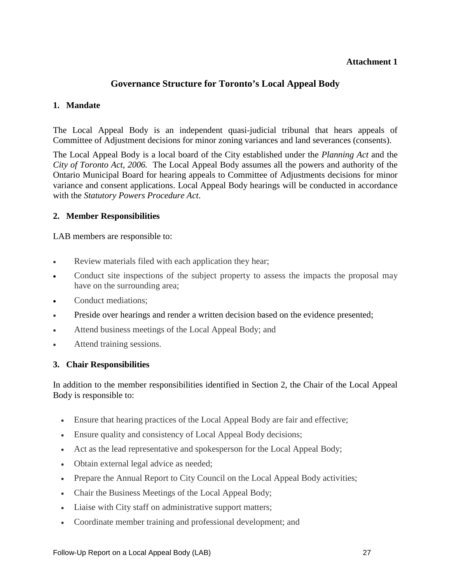# **Governance Structure for Toronto's Local Appeal Body**

#### **1. Mandate**

The Local Appeal Body is an independent quasi-judicial tribunal that hears appeals of Committee of Adjustment decisions for minor zoning variances and land severances (consents).

The Local Appeal Body is a local board of the City established under the *Planning Act* and the *City of Toronto Act*, *2006.* The Local Appeal Body assumes all the powers and authority of the Ontario Municipal Board for hearing appeals to Committee of Adjustments decisions for minor variance and consent applications. Local Appeal Body hearings will be conducted in accordance with the *Statutory Powers Procedure Act*.

#### **2. Member Responsibilities**

LAB members are responsible to:

- Review materials filed with each application they hear;
- Conduct site inspections of the subject property to assess the impacts the proposal may have on the surrounding area;
- Conduct mediations;
- Preside over hearings and render a written decision based on the evidence presented;
- Attend business meetings of the Local Appeal Body; and
- Attend training sessions.

#### **3. Chair Responsibilities**

In addition to the member responsibilities identified in Section 2, the Chair of the Local Appeal Body is responsible to:

- Ensure that hearing practices of the Local Appeal Body are fair and effective;
- Ensure quality and consistency of Local Appeal Body decisions;
- Act as the lead representative and spokesperson for the Local Appeal Body;
- Obtain external legal advice as needed;
- Prepare the Annual Report to City Council on the Local Appeal Body activities;
- Chair the Business Meetings of the Local Appeal Body;
- Liaise with City staff on administrative support matters;
- Coordinate member training and professional development; and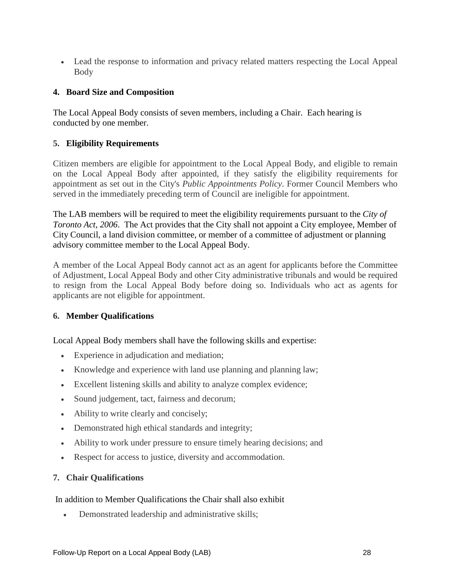• Lead the response to information and privacy related matters respecting the Local Appeal Body

#### **4. Board Size and Composition**

The Local Appeal Body consists of seven members, including a Chair. Each hearing is conducted by one member.

#### **5. Eligibility Requirements**

Citizen members are eligible for appointment to the Local Appeal Body, and eligible to remain on the Local Appeal Body after appointed, if they satisfy the eligibility requirements for appointment as set out in the City's *Public Appointments Policy*. Former Council Members who served in the immediately preceding term of Council are ineligible for appointment.

The LAB members will be required to meet the eligibility requirements pursuant to the *City of Toronto Act, 2006*. The Act provides that the City shall not appoint a City employee, Member of City Council, a land division committee, or member of a committee of adjustment or planning advisory committee member to the Local Appeal Body.

A member of the Local Appeal Body cannot act as an agent for applicants before the Committee of Adjustment, Local Appeal Body and other City administrative tribunals and would be required to resign from the Local Appeal Body before doing so. Individuals who act as agents for applicants are not eligible for appointment.

#### **6. Member Qualifications**

Local Appeal Body members shall have the following skills and expertise:

- Experience in adjudication and mediation;
- Knowledge and experience with land use planning and planning law;
- Excellent listening skills and ability to analyze complex evidence;
- Sound judgement, tact, fairness and decorum;
- Ability to write clearly and concisely;
- Demonstrated high ethical standards and integrity;
- Ability to work under pressure to ensure timely hearing decisions; and
- Respect for access to justice, diversity and accommodation.

#### **7. Chair Qualifications**

#### In addition to Member Qualifications the Chair shall also exhibit

• Demonstrated leadership and administrative skills;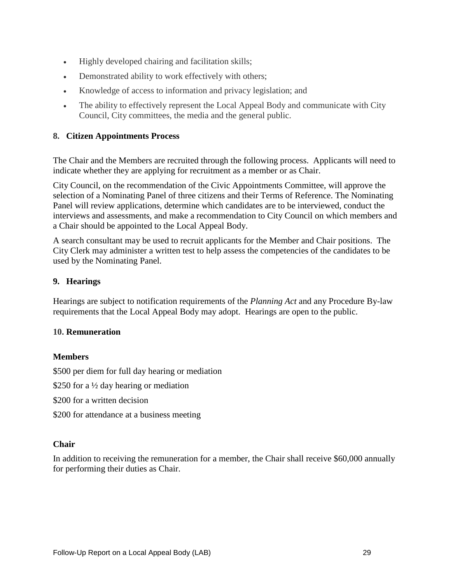- Highly developed chairing and facilitation skills;
- Demonstrated ability to work effectively with others;
- Knowledge of access to information and privacy legislation; and
- The ability to effectively represent the Local Appeal Body and communicate with City Council, City committees, the media and the general public.

#### **8. Citizen Appointments Process**

The Chair and the Members are recruited through the following process. Applicants will need to indicate whether they are applying for recruitment as a member or as Chair.

City Council, on the recommendation of the Civic Appointments Committee, will approve the selection of a Nominating Panel of three citizens and their Terms of Reference. The Nominating Panel will review applications, determine which candidates are to be interviewed, conduct the interviews and assessments, and make a recommendation to City Council on which members and a Chair should be appointed to the Local Appeal Body.

A search consultant may be used to recruit applicants for the Member and Chair positions. The City Clerk may administer a written test to help assess the competencies of the candidates to be used by the Nominating Panel.

#### **9. Hearings**

Hearings are subject to notification requirements of the *Planning Act* and any Procedure By-law requirements that the Local Appeal Body may adopt. Hearings are open to the public.

#### **10. Remuneration**

#### **Members**

\$500 per diem for full day hearing or mediation

\$250 for a <sup>1/2</sup> day hearing or mediation

- \$200 for a written decision
- \$200 for attendance at a business meeting

#### **Chair**

In addition to receiving the remuneration for a member, the Chair shall receive \$60,000 annually for performing their duties as Chair.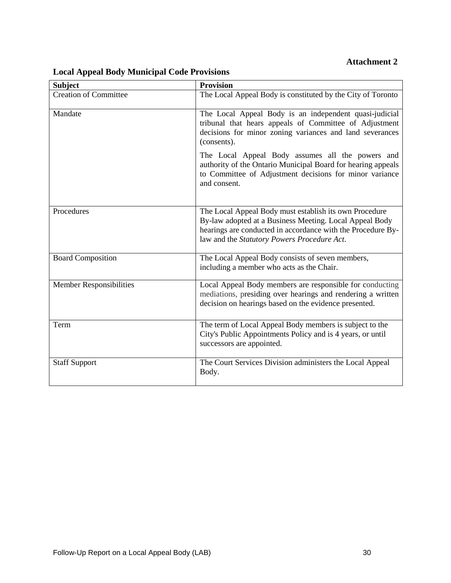| <b>Subject</b>                 | <b>Provision</b>                                                                                                                                                                                                                |  |  |  |  |
|--------------------------------|---------------------------------------------------------------------------------------------------------------------------------------------------------------------------------------------------------------------------------|--|--|--|--|
| <b>Creation of Committee</b>   | The Local Appeal Body is constituted by the City of Toronto                                                                                                                                                                     |  |  |  |  |
| Mandate                        | The Local Appeal Body is an independent quasi-judicial<br>tribunal that hears appeals of Committee of Adjustment<br>decisions for minor zoning variances and land severances<br>(consents).                                     |  |  |  |  |
|                                | The Local Appeal Body assumes all the powers and<br>authority of the Ontario Municipal Board for hearing appeals<br>to Committee of Adjustment decisions for minor variance<br>and consent.                                     |  |  |  |  |
| Procedures                     | The Local Appeal Body must establish its own Procedure<br>By-law adopted at a Business Meeting. Local Appeal Body<br>hearings are conducted in accordance with the Procedure By-<br>law and the Statutory Powers Procedure Act. |  |  |  |  |
| <b>Board Composition</b>       | The Local Appeal Body consists of seven members,<br>including a member who acts as the Chair.                                                                                                                                   |  |  |  |  |
| <b>Member Responsibilities</b> | Local Appeal Body members are responsible for conducting<br>mediations, presiding over hearings and rendering a written<br>decision on hearings based on the evidence presented.                                                |  |  |  |  |
| Term                           | The term of Local Appeal Body members is subject to the<br>City's Public Appointments Policy and is 4 years, or until<br>successors are appointed.                                                                              |  |  |  |  |
| <b>Staff Support</b>           | The Court Services Division administers the Local Appeal<br>Body.                                                                                                                                                               |  |  |  |  |

# **Local Appeal Body Municipal Code Provisions**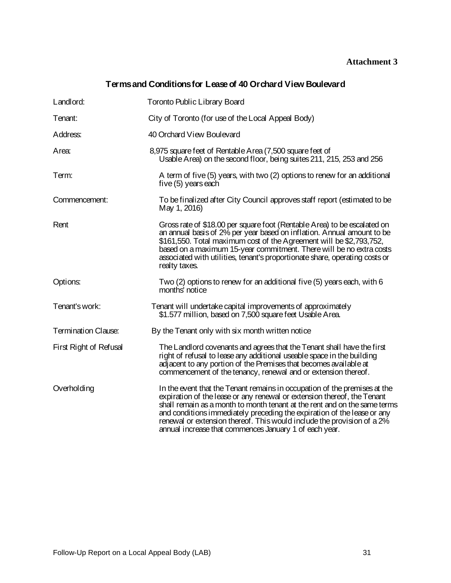# **Terms and Conditions for Lease of 40 Orchard View Boulevard**

| Landlord:                  | <b>Toronto Public Library Board</b>                                                                                                                                                                                                                                                                                                                                                                                                              |
|----------------------------|--------------------------------------------------------------------------------------------------------------------------------------------------------------------------------------------------------------------------------------------------------------------------------------------------------------------------------------------------------------------------------------------------------------------------------------------------|
| Tenant:                    | City of Toronto (for use of the Local Appeal Body)                                                                                                                                                                                                                                                                                                                                                                                               |
| Address:                   | 40 Orchard View Boulevard                                                                                                                                                                                                                                                                                                                                                                                                                        |
| Area:                      | 8,975 square feet of Rentable A rea (7,500 square feet of<br>Usable Area) on the second floor, being suites 211, 215, 253 and 256                                                                                                                                                                                                                                                                                                                |
| Term:                      | A term of five (5) years, with two (2) options to renew for an additional<br>five (5) years each                                                                                                                                                                                                                                                                                                                                                 |
| Commencement:              | To be finalized after City Council approves staff report (estimated to be<br>May 1, 2016)                                                                                                                                                                                                                                                                                                                                                        |
| Rent                       | Gross rate of \$18.00 per square foot (Rentable Area) to be escalated on<br>an annual basis of 2% per year based on inflation. Annual amount to be<br>\$161,550. Total maximum cost of the Agreement will be \$2,793,752,<br>based on a maximum 15-year commitment. There will be no extra costs<br>associated with utilities, tenant's proportionate share, operating costs or<br>realty taxes.                                                 |
| Options:                   | Two (2) options to renew for an additional five (5) years each, with 6<br>months' notice                                                                                                                                                                                                                                                                                                                                                         |
| Tenant's work:             | Tenant will undertake capital improvements of approximately<br>\$1.577 million, based on 7,500 square feet Usable Area.                                                                                                                                                                                                                                                                                                                          |
| <b>Termination Clause:</b> | By the Tenant only with six month written notice                                                                                                                                                                                                                                                                                                                                                                                                 |
| First Right of Refusal     | The Landlord covenants and agrees that the Tenant shall have the first<br>right of refusal to lease any additional useable space in the building<br>adjacent to any portion of the Premises that becomes available at<br>commencement of the tenancy, renewal and or extension thereof.                                                                                                                                                          |
| Overholding                | In the event that the Tenant remains in occupation of the premises at the<br>expiration of the lease or any renewal or extension thereof, the Tenant<br>shall remain as a month to month tenant at the rent and on the same terms<br>and conditions immediately preceding the expiration of the lease or any<br>renewal or extension thereof. This would include the provision of a 2%<br>annual increase that commences January 1 of each year. |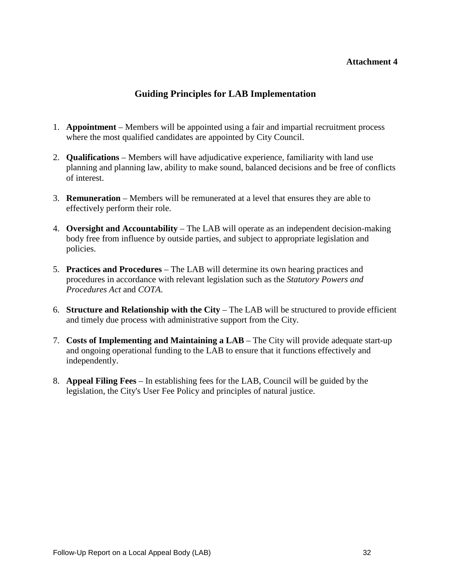# **Guiding Principles for LAB Implementation**

- 1. **Appointment**  Members will be appointed using a fair and impartial recruitment process where the most qualified candidates are appointed by City Council.
- 2. **Qualifications**  Members will have adjudicative experience, familiarity with land use planning and planning law, ability to make sound, balanced decisions and be free of conflicts of interest.
- 3. **Remuneration** Members will be remunerated at a level that ensures they are able to effectively perform their role.
- 4. **Oversight and Accountability** The LAB will operate as an independent decision-making body free from influence by outside parties, and subject to appropriate legislation and policies.
- 5. **Practices and Procedures** The LAB will determine its own hearing practices and procedures in accordance with relevant legislation such as the *Statutory Powers and Procedures Act* and *COTA*.
- 6. **Structure and Relationship with the City** The LAB will be structured to provide efficient and timely due process with administrative support from the City.
- 7. **Costs of Implementing and Maintaining a LAB** The City will provide adequate start-up and ongoing operational funding to the LAB to ensure that it functions effectively and independently.
- 8. **Appeal Filing Fees** In establishing fees for the LAB, Council will be guided by the legislation, the City's User Fee Policy and principles of natural justice.